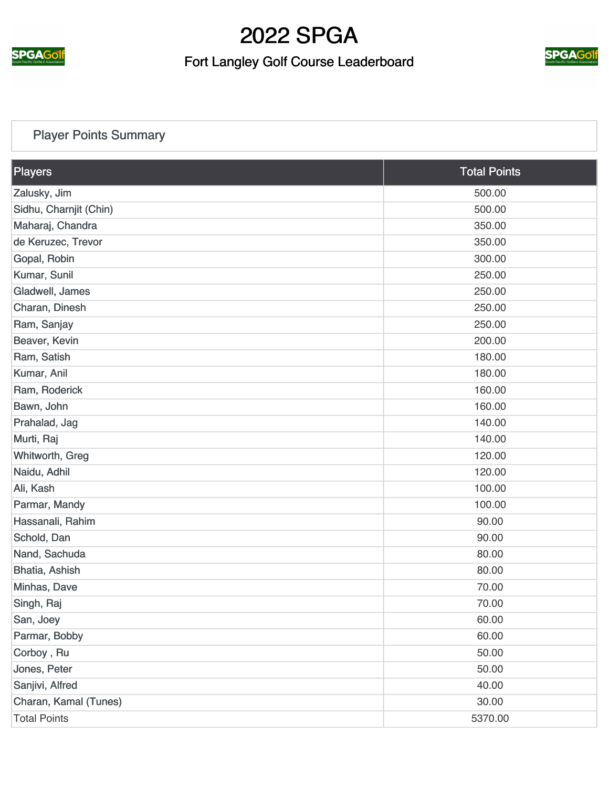

#### Fort Langley Golf Course Leaderboard



#### [Player Points Summary](https://static.golfgenius.com/v2tournaments/total_points?league_id=287068&round_id=896693)

| Players                | <b>Total Points</b> |
|------------------------|---------------------|
| Zalusky, Jim           | 500.00              |
| Sidhu, Charnjit (Chin) | 500.00              |
| Maharaj, Chandra       | 350.00              |
| de Keruzec, Trevor     | 350.00              |
| Gopal, Robin           | 300.00              |
| Kumar, Sunil           | 250.00              |
| Gladwell, James        | 250.00              |
| Charan, Dinesh         | 250.00              |
| Ram, Sanjay            | 250.00              |
| Beaver, Kevin          | 200.00              |
| Ram, Satish            | 180.00              |
| Kumar, Anil            | 180.00              |
| Ram, Roderick          | 160.00              |
| Bawn, John             | 160.00              |
| Prahalad, Jag          | 140.00              |
| Murti, Raj             | 140.00              |
| Whitworth, Greg        | 120.00              |
| Naidu, Adhil           | 120.00              |
| Ali, Kash              | 100.00              |
| Parmar, Mandy          | 100.00              |
| Hassanali, Rahim       | 90.00               |
| Schold, Dan            | 90.00               |
| Nand, Sachuda          | 80.00               |
| Bhatia, Ashish         | 80.00               |
| Minhas, Dave           | 70.00               |
| Singh, Raj             | 70.00               |
| San, Joey              | 60.00               |
| Parmar, Bobby          | 60.00               |
| Corboy, Ru             | 50.00               |
| Jones, Peter           | 50.00               |
| Sanjivi, Alfred        | 40.00               |
| Charan, Kamal (Tunes)  | 30.00               |
| <b>Total Points</b>    | 5370.00             |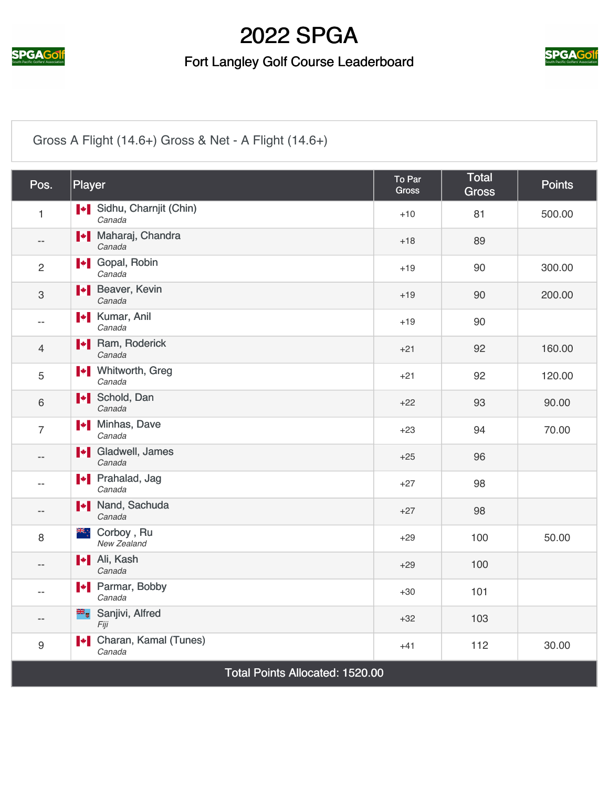

#### Fort Langley Golf Course Leaderboard



#### [Gross A Flight \(14.6+\) Gross & Net - A Flight \(14.6+\)](https://static.golfgenius.com/v2tournaments/2537855?called_from=&round_index=4)

| Pos.                                   | Player                                   | <b>To Par</b><br><b>Gross</b> | <b>Total</b><br><b>Gross</b> | <b>Points</b> |
|----------------------------------------|------------------------------------------|-------------------------------|------------------------------|---------------|
| $\mathbf{1}$                           | Sidhu, Charnjit (Chin)<br>Canada         | $+10$                         | 81                           | 500.00        |
| $-$                                    | I Maharaj, Chandra<br>Canada             | $+18$                         | 89                           |               |
| $\overline{2}$                         | <b>I</b> Gopal, Robin<br>Canada          | $+19$                         | 90                           | 300.00        |
| 3                                      | <b>+</b> Beaver, Kevin<br>Canada         | $+19$                         | 90                           | 200.00        |
| $\overline{\phantom{a}}$               | <b>I</b> Kumar, Anil<br>Canada           | $+19$                         | 90                           |               |
| $\overline{4}$                         | <b>I</b> Ram, Roderick<br>Canada         | $+21$                         | 92                           | 160.00        |
| 5                                      | <b>I</b> + Mhitworth, Greg<br>Canada     | $+21$                         | 92                           | 120.00        |
| 6                                      | <b>I</b> Schold, Dan<br>Canada           | $+22$                         | 93                           | 90.00         |
| $\overline{7}$                         | <b>I</b> Minhas, Dave<br>Canada          | $+23$                         | 94                           | 70.00         |
| $\overline{\phantom{a}}$               | I Gladwell, James<br>Canada              | $+25$                         | 96                           |               |
| $- -$                                  | <b>I</b> Prahalad, Jag<br>Canada         | $+27$                         | 98                           |               |
| $- -$                                  | <b>I</b> Nand, Sachuda<br>Canada         | $+27$                         | 98                           |               |
| 8                                      | ≱€∴<br>Corboy, Ru<br>New Zealand         | $+29$                         | 100                          | 50.00         |
| $- -$                                  | I + Ali, Kash<br>Canada                  | $+29$                         | 100                          |               |
| $\overline{\phantom{a}}$               | <b>+</b> Parmar, Bobby<br>Canada         | $+30$                         | 101                          |               |
| $\overline{\phantom{m}}$               | Sanjivi, Alfred<br>Fiji                  | $+32$                         | 103                          |               |
| $\boldsymbol{9}$                       | <b>I</b> Charan, Kamal (Tunes)<br>Canada | $+41$                         | 112                          | 30.00         |
| <b>Total Points Allocated: 1520.00</b> |                                          |                               |                              |               |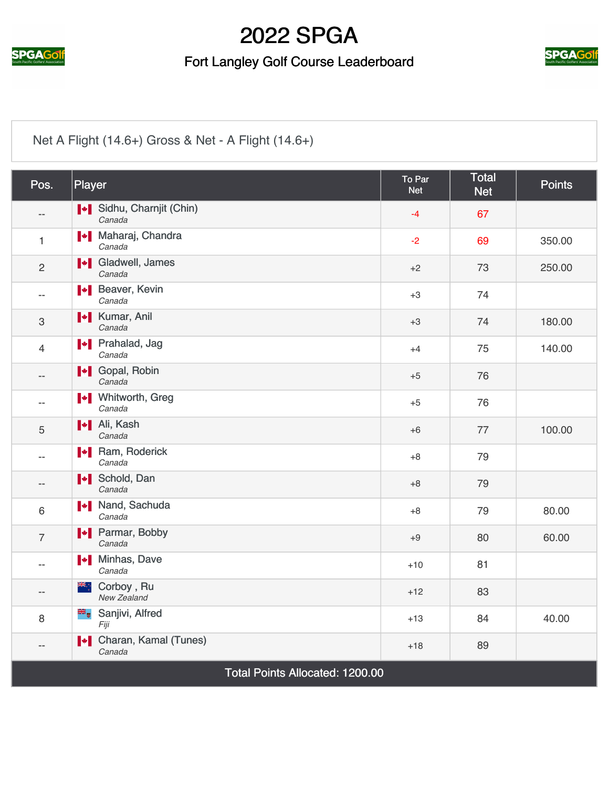

#### Fort Langley Golf Course Leaderboard



#### [Net A Flight \(14.6+\) Gross & Net - A Flight \(14.6+\)](https://static.golfgenius.com/v2tournaments/2537856?called_from=&round_index=4)

| Pos.                            | Player                                | To Par<br><b>Net</b> | <b>Total</b><br><b>Net</b> | <b>Points</b> |
|---------------------------------|---------------------------------------|----------------------|----------------------------|---------------|
| $-$                             | Sidhu, Charnjit (Chin)<br>Canada      | $-4$                 | 67                         |               |
| 1                               | <b>I + Maharaj, Chandra</b><br>Canada | $-2$                 | 69                         | 350.00        |
| $\overline{c}$                  | I Gladwell, James<br>Canada           | $+2$                 | 73                         | 250.00        |
| $-$                             | <b>+</b> Beaver, Kevin<br>Canada      | $+3$                 | 74                         |               |
| $\ensuremath{\mathsf{3}}$       | <b>*</b> Kumar, Anil<br>Canada        | $+3$                 | 74                         | 180.00        |
| $\overline{4}$                  | <b>I</b> Prahalad, Jag<br>Canada      | $+4$                 | 75                         | 140.00        |
| $- -$                           | I Gopal, Robin<br>Canada              | $+5$                 | 76                         |               |
| --                              | <b>I</b> Vhitworth, Greg<br>Canada    | $+5$                 | 76                         |               |
| 5                               | <b>I</b> Ali, Kash<br>Canada          | $+6$                 | 77                         | 100.00        |
| $-$                             | I Ram, Roderick<br>Canada             | $+8$                 | 79                         |               |
| --                              | <b>I</b> Schold, Dan<br>Canada        | $+8$                 | 79                         |               |
| 6                               | I Nand, Sachuda<br>Canada             | $+8$                 | 79                         | 80.00         |
| $\overline{7}$                  | <b>I</b> Parmar, Bobby<br>Canada      | $+9$                 | 80                         | 60.00         |
| $-$                             | <b>I</b> Minhas, Dave<br>Canada       | $+10$                | 81                         |               |
| $-$                             | ≱≼਼<br>Corboy, Ru<br>New Zealand      | $+12$                | 83                         |               |
| 8                               | Sanjivi, Alfred<br>Fiji               | $+13$                | 84                         | 40.00         |
| --                              | I Charan, Kamal (Tunes)<br>Canada     | $+18$                | 89                         |               |
| Total Points Allocated: 1200.00 |                                       |                      |                            |               |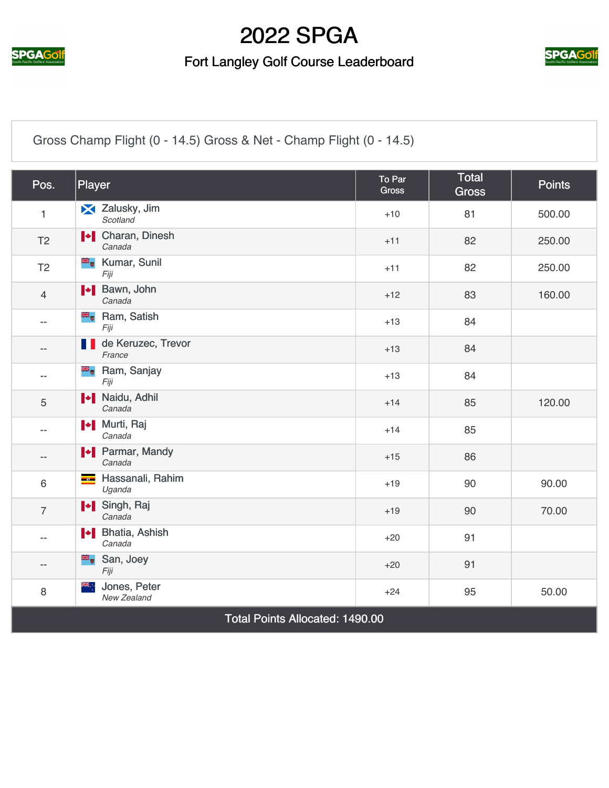

#### Fort Langley Golf Course Leaderboard



[Gross Champ Flight \(0 - 14.5\) Gross & Net - Champ Flight \(0 - 14.5\)](https://static.golfgenius.com/v2tournaments/2537882?called_from=&round_index=4)

| Pos.                                   | Player                                     | To Par<br><b>Gross</b> | <b>Total</b><br><b>Gross</b> | <b>Points</b> |
|----------------------------------------|--------------------------------------------|------------------------|------------------------------|---------------|
| $\mathbf{1}$                           | X Zalusky, Jim<br>Scotland                 | $+10$                  | 81                           | 500.00        |
| T <sub>2</sub>                         | <b>I</b> Charan, Dinesh<br>Canada          | $+11$                  | 82                           | 250.00        |
| T <sub>2</sub>                         | <b>E</b> Kumar, Sunil<br>Fiji              | $+11$                  | 82                           | 250.00        |
| $\overline{4}$                         | I Bawn, John<br>Canada                     | $+12$                  | 83                           | 160.00        |
| $- -$                                  | <b>E</b> Ram, Satish<br>Fiji               | $+13$                  | 84                           |               |
| $- -$                                  | de Keruzec, Trevor<br>M.<br>France         | $+13$                  | 84                           |               |
| $- -$                                  | <b>B</b> <sub>o</sub> Ram, Sanjay<br>Fiji  | $+13$                  | 84                           |               |
| 5                                      | <b>*</b> Naidu, Adhil<br>Canada            | $+14$                  | 85                           | 120.00        |
| $- -$                                  | <b>I</b> <sup>↓</sup> Murti, Raj<br>Canada | $+14$                  | 85                           |               |
| $- -$                                  | <b>I</b> Parmar, Mandy<br>Canada           | $+15$                  | 86                           |               |
| 6                                      | Hassanali, Rahim<br>Uganda                 | $+19$                  | 90                           | 90.00         |
| $\overline{7}$                         | I Singh, Raj<br>Canada                     | $+19$                  | 90                           | 70.00         |
| $- -$                                  | I Bhatia, Ashish<br>Canada                 | $+20$                  | 91                           |               |
| $- -$                                  | San, Joey<br>Fiji                          | $+20$                  | 91                           |               |
| 8                                      | Ж∴<br>Jones, Peter<br>New Zealand          | $+24$                  | 95                           | 50.00         |
| <b>Total Points Allocated: 1490.00</b> |                                            |                        |                              |               |